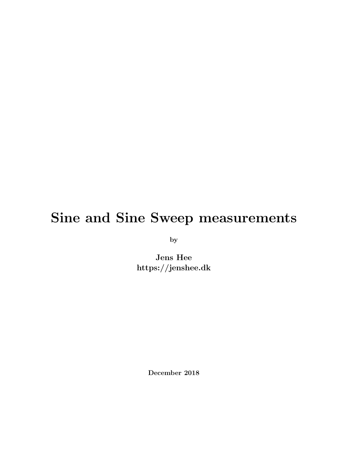### Sine and Sine Sweep measurements

by

Jens Hee https://jenshee.dk

December 2018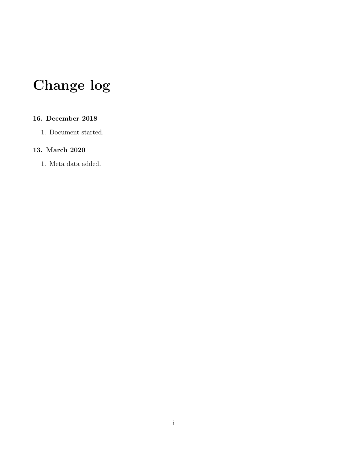# Change log

#### 16. December 2018

1. Document started.

#### 13. March 2020

1. Meta data added.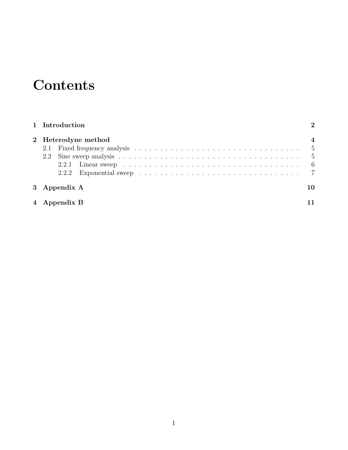# **Contents**

| 1 Introduction |                     |              |                                                                                                          |                      |  |  |
|----------------|---------------------|--------------|----------------------------------------------------------------------------------------------------------|----------------------|--|--|
|                | 2 Heterodyne method |              |                                                                                                          |                      |  |  |
|                |                     |              |                                                                                                          |                      |  |  |
|                | 2.2                 |              |                                                                                                          |                      |  |  |
|                |                     |              | 2.2.1 Linear sweep $\ldots \ldots \ldots \ldots \ldots \ldots \ldots \ldots \ldots \ldots \ldots \ldots$ | $6\phantom{.0000}\,$ |  |  |
|                |                     |              |                                                                                                          |                      |  |  |
|                |                     | 3 Appendix A |                                                                                                          | 10                   |  |  |
|                | 4 Appendix B        |              |                                                                                                          |                      |  |  |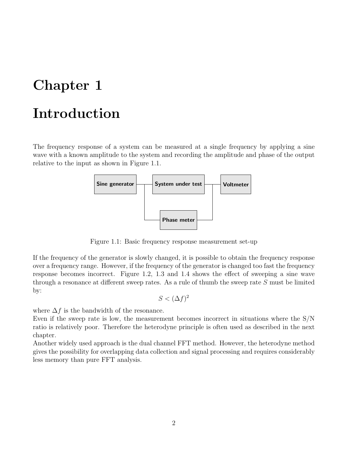### <span id="page-3-0"></span>Introduction

The frequency response of a system can be measured at a single frequency by applying a sine wave with a known amplitude to the system and recording the amplitude and phase of the output relative to the input as shown in Figure [1.1.](#page-3-1)



Figure 1.1: Basic frequency response measurement set-up

If the frequency of the generator is slowly changed, it is possible to obtain the frequency response over a frequency range. However, if the frequency of the generator is changed too fast the frequency response becomes incorrect. Figure [1.2,](#page-4-0) [1.3](#page-4-1) and [1.4](#page-4-2) shows the effect of sweeping a sine wave through a resonance at different sweep rates. As a rule of thumb the sweep rate S must be limited by:

<span id="page-3-1"></span>
$$
S < (\Delta f)^2
$$

where  $\Delta f$  is the bandwidth of the resonance.

Even if the sweep rate is low, the measurement becomes incorrect in situations where the S/N ratio is relatively poor. Therefore the heterodyne principle is often used as described in the next chapter.

Another widely used approach is the dual channel FFT method. However, the heterodyne method gives the possibility for overlapping data collection and signal processing and requires considerably less memory than pure FFT analysis.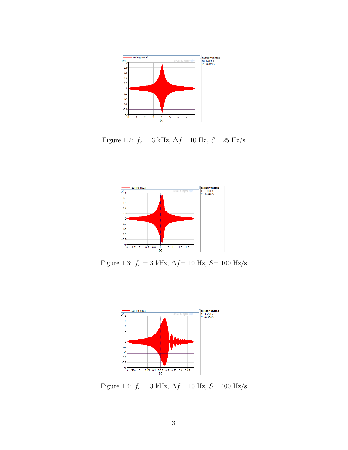

<span id="page-4-0"></span>Figure 1.2:  $f_c=$  3 kHz,  $\Delta f\rm=$  10 Hz,  $S\rm=$  25 Hz/s



Figure 1.3:  $f_c=$ 3 kHz, $\Delta f\rm=$  10 Hz, $S\rm=$  100 Hz/s

<span id="page-4-2"></span><span id="page-4-1"></span>

Figure 1.4:  $f_c=3$  kHz,  $\Delta f{=10}$  Hz,  $S{=400}$  Hz/s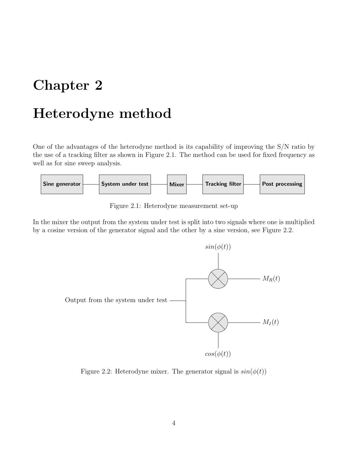### <span id="page-5-0"></span>Heterodyne method

One of the advantages of the heterodyne method is its capability of improving the S/N ratio by the use of a tracking filter as shown in Figure [2.1.](#page-5-1) The method can be used for fixed frequency as well as for sine sweep analysis.



<span id="page-5-1"></span>Figure 2.1: Heterodyne measurement set-up

In the mixer the output from the system under test is split into two signals where one is multiplied by a cosine version of the generator signal and the other by a sine version, see Figure [2.2.](#page-5-2)



<span id="page-5-2"></span>Figure 2.2: Heterodyne mixer. The generator signal is  $sin(\phi(t))$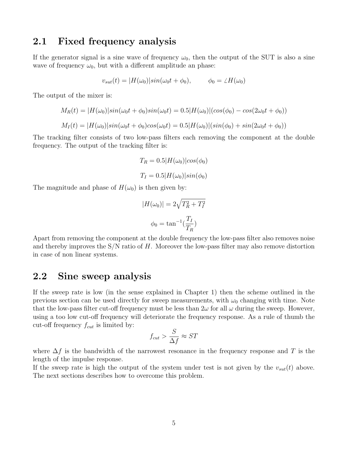### <span id="page-6-0"></span>2.1 Fixed frequency analysis

If the generator signal is a sine wave of frequency  $\omega_0$ , then the output of the SUT is also a sine wave of frequency  $\omega_0$ , but with a different amplitude an phase:

$$
v_{sut}(t) = |H(\omega_0)|\sin(\omega_0 t + \phi_0), \qquad \phi_0 = \angle H(\omega_0)
$$

The output of the mixer is:

$$
M_R(t) = |H(\omega_0)|\sin(\omega_0 t + \phi_0)\sin(\omega_0 t) = 0.5|H(\omega_0)|(\cos(\phi_0) - \cos(2\omega_0 t + \phi_0))
$$
  

$$
M_I(t) = |H(\omega_0)|\sin(\omega_0 t + \phi_0)\cos(\omega_0 t) = 0.5|H(\omega_0)|(\sin(\phi_0) + \sin(2\omega_0 t + \phi_0))
$$

The tracking filter consists of two low-pass filters each removing the component at the double frequency. The output of the tracking filter is:

$$
T_R = 0.5|H(\omega_0)|\cos(\phi_0)
$$
  

$$
T_I = 0.5|H(\omega_0)|\sin(\phi_0)
$$

The magnitude and phase of  $H(\omega_0)$  is then given by:

$$
|H(\omega_0)| = 2\sqrt{T_R^2 + T_I^2}
$$

$$
\phi_0 = \tan^{-1}(\frac{T_I}{T_R})
$$

Apart from removing the component at the double frequency the low-pass filter also removes noise and thereby improves the  $S/N$  ratio of H. Moreover the low-pass filter may also remove distortion in case of non linear systems.

### <span id="page-6-1"></span>2.2 Sine sweep analysis

If the sweep rate is low (in the sense explained in Chapter [1\)](#page-3-0) then the scheme outlined in the previous section can be used directly for sweep measurements, with  $\omega_0$  changing with time. Note that the low-pass filter cut-off frequency must be less than  $2\omega$  for all  $\omega$  during the sweep. However, using a too low cut-off frequency will deteriorate the frequency response. As a rule of thumb the cut-off frequency  $f_{cut}$  is limited by:

$$
f_{cut} > \frac{S}{\Delta f} \approx ST
$$

where  $\Delta f$  is the bandwidth of the narrowest resonance in the frequency response and T is the length of the impulse response.

If the sweep rate is high the output of the system under test is not given by the  $v_{sut}(t)$  above. The next sections describes how to overcome this problem.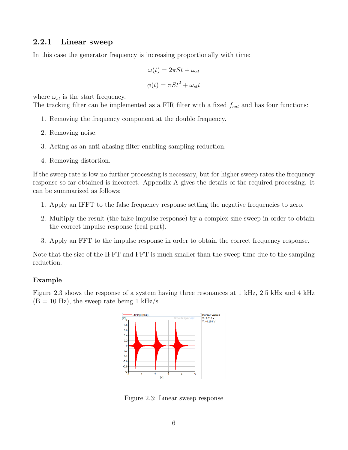#### <span id="page-7-0"></span>2.2.1 Linear sweep

In this case the generator frequency is increasing proportionally with time:

$$
\omega(t) = 2\pi St + \omega_{st}
$$

$$
\phi(t) = \pi St^2 + \omega_{st}t
$$

where  $\omega_{st}$  is the start frequency.

The tracking filter can be implemented as a FIR filter with a fixed  $f_{cut}$  and has four functions:

- 1. Removing the frequency component at the double frequency.
- 2. Removing noise.
- 3. Acting as an anti-aliasing filter enabling sampling reduction.
- 4. Removing distortion.

If the sweep rate is low no further processing is necessary, but for higher sweep rates the frequency response so far obtained is incorrect. Appendix A gives the details of the required processing. It can be summarized as follows:

- 1. Apply an IFFT to the false frequency response setting the negative frequencies to zero.
- 2. Multiply the result (the false impulse response) by a complex sine sweep in order to obtain the correct impulse response (real part).
- 3. Apply an FFT to the impulse response in order to obtain the correct frequency response.

Note that the size of the IFFT and FFT is much smaller than the sweep time due to the sampling reduction.

#### Example

Figure [2.3](#page-7-1) shows the response of a system having three resonances at 1 kHz, 2.5 kHz and 4 kHz  $(B = 10$  Hz), the sweep rate being 1 kHz/s.



<span id="page-7-1"></span>Figure 2.3: Linear sweep response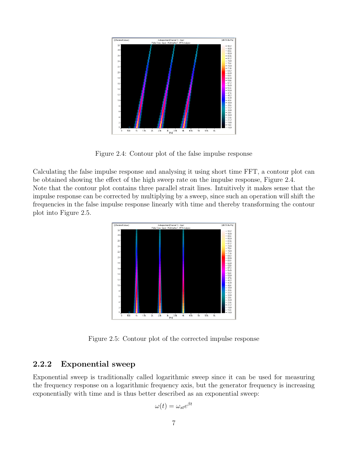

Figure 2.4: Contour plot of the false impulse response

<span id="page-8-1"></span>Calculating the false impulse response and analysing it using short time FFT, a contour plot can be obtained showing the effect of the high sweep rate on the impulse response, Figure [2.4.](#page-8-1) Note that the contour plot contains three parallel strait lines. Intuitively it makes sense that the impulse response can be corrected by multiplying by a sweep, since such an operation will shift the frequencies in the false impulse response linearly with time and thereby transforming the contour plot into Figure [2.5.](#page-8-2)



Figure 2.5: Contour plot of the corrected impulse response

#### <span id="page-8-2"></span><span id="page-8-0"></span>2.2.2 Exponential sweep

Exponential sweep is traditionally called logarithmic sweep since it can be used for measuring the frequency response on a logarithmic frequency axis, but the generator frequency is increasing exponentially with time and is thus better described as an exponential sweep:

$$
\omega(t) = \omega_{st} e^{\beta t}
$$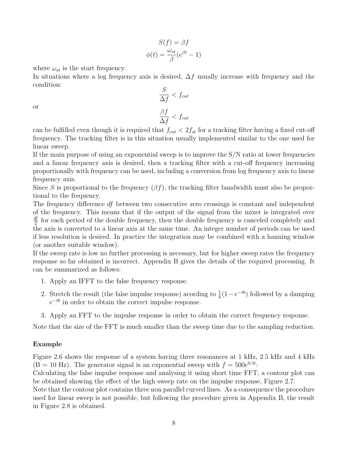$$
S(f) = \beta f
$$

$$
\phi(t) = \frac{\omega_{st}}{\beta} (e^{\beta t} - 1)
$$

where  $\omega_{st}$  is the start frequency.

In situations where a log frequency axis is desired,  $\Delta f$  usually increase with frequency and the condition:

$$
\frac{S}{\Delta f} < f_{cut}
$$
\n
$$
\frac{\beta f}{\Delta f} < f_{cut}
$$

or

can be fulfilled even though it is required that  $f_{cut} < 2f_{st}$  for a tracking filter having a fixed cut-off frequency. The tracking filter is in this situation usually implemented similar to the one used for linear sweep.

If the main purpose of using an exponential sweep is to improve the S/N ratio at lower frequencies and a linear frequency axis is desired, then a tracking filter with a cut-off frequency increasing proportionally with frequency can be used, including a conversion from log frequency axis to linear frequency axis.

Since S is proportional to the frequency  $(\beta f)$ , the tracking filter bandwidth must also be proportional to the frequency.

The frequency difference df between two consecutive zero crossings is constant and independent of the frequency. This means that if the output of the signal from the mixer is integrated over df  $\frac{y}{2}$  for each period of the double frequency, then the double frequency is canceled completely and the axis is converted to a linear axis at the same time. An integer number of periods can be used if less resolution is desired. In practice the integration may be combined with a hanning window (or another suitable window).

If the sweep rate is low no further processing is necessary, but for higher sweep rates the frequency response so far obtained is incorrect. Appendix B gives the details of the required processing. It can be summarized as follows:

- 1. Apply an IFFT to the false frequency response.
- 2. Stretch the result (the false impulse response) acording to  $\frac{1}{b}(1-e^{-tb})$  followed by a damping  $e^{-tb}$  in order to obtain the correct impulse response.
- 3. Apply an FFT to the impulse response in order to obtain the correct frequency response.

Note that the size of the FFT is much smaller than the sweep time due to the sampling reduction.

#### Example

Figure [2.6](#page-10-0) shows the response of a system having three resonances at 1 kHz, 2.5 kHz and 4 kHz  $(B = 10$  Hz). The generator signal is an exponential sweep with  $f = 500e^{0.5t}$ .

Calculating the false impulse response and analysing it using short time FFT, a contour plot can be obtained showing the effect of the high sweep rate on the impulse response, Figure [2.7.](#page-10-1)

Note that the contour plot contains three non parallel curved lines. As a consequence the procedure used for linear sweep is not possible, but following the procedure given in Appendix B, the result in Figure [2.8](#page-10-2) is obtained.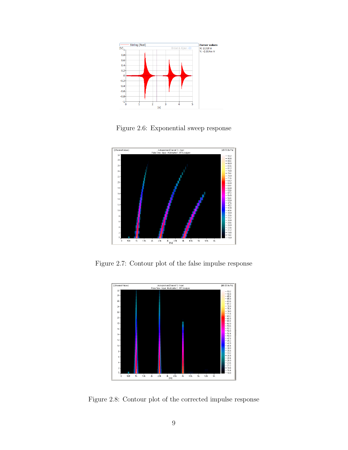

Figure 2.6: Exponential sweep response

<span id="page-10-0"></span>

<span id="page-10-1"></span>Figure 2.7: Contour plot of the false impulse response



<span id="page-10-2"></span>Figure 2.8: Contour plot of the corrected impulse response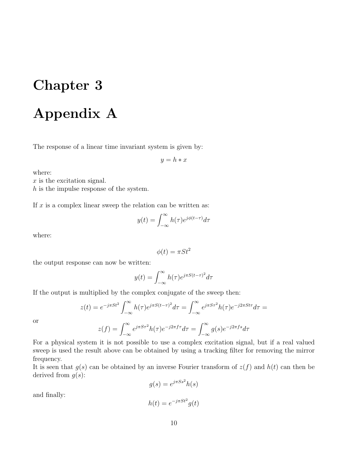### <span id="page-11-0"></span>Appendix A

The response of a linear time invariant system is given by:

$$
y = h * x
$$

where:

 $x$  is the excitation signal.

h is the impulse response of the system.

If  $x$  is a complex linear sweep the relation can be written as:

$$
y(t) = \int_{-\infty}^{\infty} h(\tau) e^{j\phi(t-\tau)} d\tau
$$

where:

$$
\phi(t) = \pi S t^2
$$

the output response can now be written:

$$
y(t) = \int_{-\infty}^{\infty} h(\tau) e^{j\pi S(t-\tau)^2} d\tau
$$

If the output is multiplied by the complex conjugate of the sweep then:

$$
z(t) = e^{-j\pi St^2} \int_{-\infty}^{\infty} h(\tau) e^{j\pi S (t-\tau)^2} d\tau = \int_{-\infty}^{\infty} e^{j\pi S \tau^2} h(\tau) e^{-j2\pi St\tau} d\tau =
$$

$$
z(f) = \int_{-\infty}^{\infty} e^{j\pi S \tau^2} h(\tau) e^{-j2\pi f\tau} d\tau = \int_{-\infty}^{\infty} g(s) e^{-j2\pi fs} d\tau
$$

or

For a physical system it is not possible to use a complex excitation signal, but if a real valued sweep is used the result above can be obtained by using a tracking filter for removing the mirror frequency.

It is seen that  $g(s)$  can be obtained by an inverse Fourier transform of  $z(f)$  and  $h(t)$  can then be derived from  $q(s)$ :

$$
g(s) = e^{j\pi S s^2} h(s)
$$

and finally:

$$
h(t) = e^{-j\pi St^2}g(t)
$$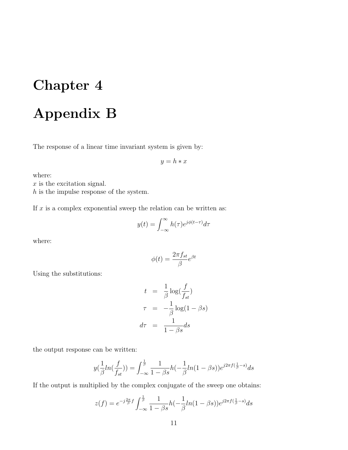# <span id="page-12-0"></span>Appendix B

The response of a linear time invariant system is given by:

$$
y = h * x
$$

where:

 $x$  is the excitation signal.

h is the impulse response of the system.

If  $x$  is a complex exponential sweep the relation can be written as:

$$
y(t) = \int_{-\infty}^{\infty} h(\tau) e^{j\phi(t-\tau)} d\tau
$$

where:

$$
\phi(t) = \frac{2\pi f_{st}}{\beta}e^{\beta t}
$$

Using the substitutions:

$$
t = \frac{1}{\beta} \log(\frac{f}{f_{st}})
$$
  

$$
\tau = -\frac{1}{\beta} \log(1 - \beta s)
$$
  

$$
d\tau = \frac{1}{1 - \beta s} ds
$$

the output response can be written:

$$
y(\frac{1}{\beta}ln(\frac{f}{f_{st}})) = \int_{-\infty}^{\frac{1}{\beta}} \frac{1}{1-\beta s} h(-\frac{1}{\beta}ln(1-\beta s)) e^{j2\pi f(\frac{1}{\beta}-s)} ds
$$

If the output is multiplied by the complex conjugate of the sweep one obtains:

$$
z(f) = e^{-j\frac{2\pi}{\beta}f} \int_{-\infty}^{\frac{1}{\beta}} \frac{1}{1-\beta s} h(-\frac{1}{\beta}ln(1-\beta s)) e^{j2\pi f(\frac{1}{\beta}-s)} ds
$$